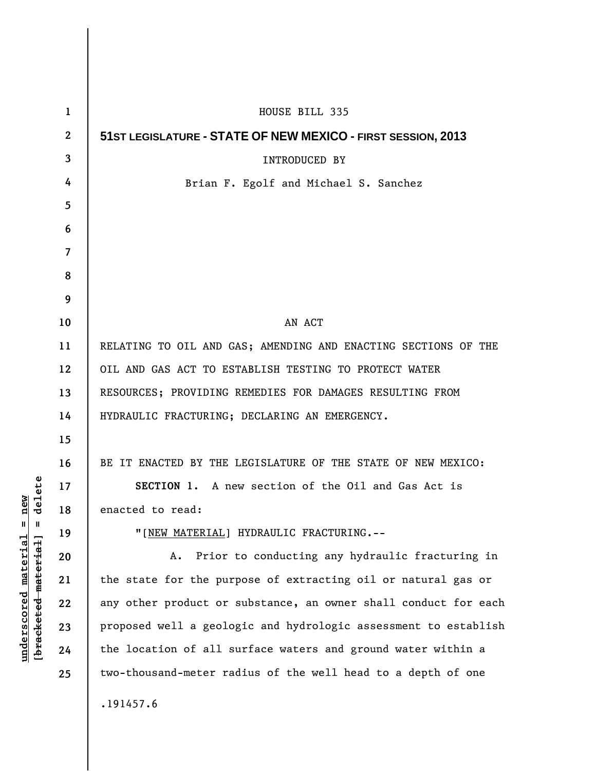| 1                | HOUSE BILL 335                                                  |
|------------------|-----------------------------------------------------------------|
| $\boldsymbol{2}$ | 51ST LEGISLATURE - STATE OF NEW MEXICO - FIRST SESSION, 2013    |
| 3                | INTRODUCED BY                                                   |
| 4                | Brian F. Egolf and Michael S. Sanchez                           |
| 5                |                                                                 |
| 6                |                                                                 |
| $\overline{7}$   |                                                                 |
| 8                |                                                                 |
| 9                |                                                                 |
| 10               | AN ACT                                                          |
| 11               | RELATING TO OIL AND GAS; AMENDING AND ENACTING SECTIONS OF THE  |
| 12               | OIL AND GAS ACT TO ESTABLISH TESTING TO PROTECT WATER           |
| 13               | RESOURCES; PROVIDING REMEDIES FOR DAMAGES RESULTING FROM        |
| 14               | HYDRAULIC FRACTURING; DECLARING AN EMERGENCY.                   |
| 15               |                                                                 |
| 16               | BE IT ENACTED BY THE LEGISLATURE OF THE STATE OF NEW MEXICO:    |
| 17               | SECTION 1. A new section of the Oil and Gas Act is              |
| 18               | enacted to read:                                                |
| 19               | "[NEW MATERIAL] HYDRAULIC FRACTURING.--                         |
| 20               | Prior to conducting any hydraulic fracturing in<br>А.           |
| 21               | the state for the purpose of extracting oil or natural gas or   |
| 22               | any other product or substance, an owner shall conduct for each |
| 23               | proposed well a geologic and hydrologic assessment to establish |
| 24               | the location of all surface waters and ground water within a    |
| 25               | two-thousand-meter radius of the well head to a depth of one    |
|                  | .191457.6                                                       |
|                  |                                                                 |

**underscored material = new [bracketed material] = delete**

 $[bracketeed-materiat] = delete$  $underscored material = new$ 

 $\mathsf I$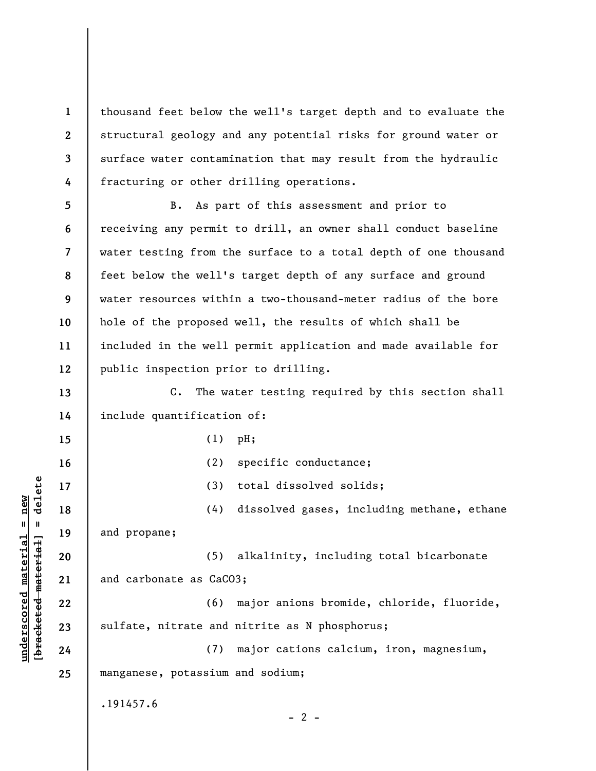**1 2 3 4**  thousand feet below the well's target depth and to evaluate the structural geology and any potential risks for ground water or surface water contamination that may result from the hydraulic fracturing or other drilling operations.

**5 6 7 8 9 10 11 12**  B. As part of this assessment and prior to receiving any permit to drill, an owner shall conduct baseline water testing from the surface to a total depth of one thousand feet below the well's target depth of any surface and ground water resources within a two-thousand-meter radius of the bore hole of the proposed well, the results of which shall be included in the well permit application and made available for public inspection prior to drilling.

**13 14**  C. The water testing required by this section shall include quantification of:

(1) pH;

**underscored material = new**

 $underscored material = new$ 

**15** 

**16**  (2) specific conductance;  $\frac{1}{2}$  of  $\frac{1}{2}$  and  $\frac{1}{2}$  and  $\frac{1}{2}$  and  $\frac{1}{2}$  and  $\frac{1}{2}$  and  $\frac{1}{2}$  and  $\frac{1}{2}$  and  $\frac{1}{2}$  and  $\frac{1}{2}$  and  $\frac{1}{2}$  and  $\frac{1}{2}$  and  $\frac{1}{2}$  and  $\frac{1}{2}$  and  $\frac{1}{2}$  and  $\frac{1}{2}$  an **[bracketed material] = delete 17**  (3) total dissolved solids; (4) dissolved gases, including methane, ethane **18**  and propane; **19**  (5) alkalinity, including total bicarbonate **20**  and carbonate as CaCO3; **21**  (6) major anions bromide, chloride, fluoride, **22**  sulfate, nitrate and nitrite as N phosphorus; **23**  (7) major cations calcium, iron, magnesium, **24 25**  manganese, potassium and sodium; .191457.6  $- 2 -$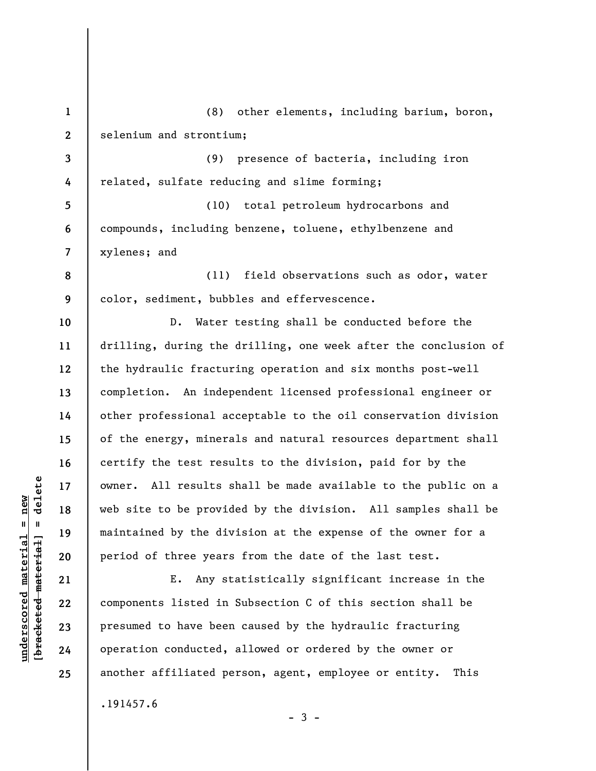**1 2 3 4 5 6 7 8 9 10 11 12 13 14 15 16 17 18 19 20 21 22 23 24 25**  (8) other elements, including barium, boron, selenium and strontium; (9) presence of bacteria, including iron related, sulfate reducing and slime forming; (10) total petroleum hydrocarbons and compounds, including benzene, toluene, ethylbenzene and xylenes; and (11) field observations such as odor, water color, sediment, bubbles and effervescence. D. Water testing shall be conducted before the drilling, during the drilling, one week after the conclusion of the hydraulic fracturing operation and six months post-well completion. An independent licensed professional engineer or other professional acceptable to the oil conservation division of the energy, minerals and natural resources department shall certify the test results to the division, paid for by the owner. All results shall be made available to the public on a web site to be provided by the division. All samples shall be maintained by the division at the expense of the owner for a period of three years from the date of the last test. E. Any statistically significant increase in the components listed in Subsection C of this section shall be presumed to have been caused by the hydraulic fracturing operation conducted, allowed or ordered by the owner or another affiliated person, agent, employee or entity. This .191457.6

 $\frac{1}{2}$  intereted material = delete **[bracketed material] = delete**  $underscored material = new$ **underscored material = new**

 $-3 -$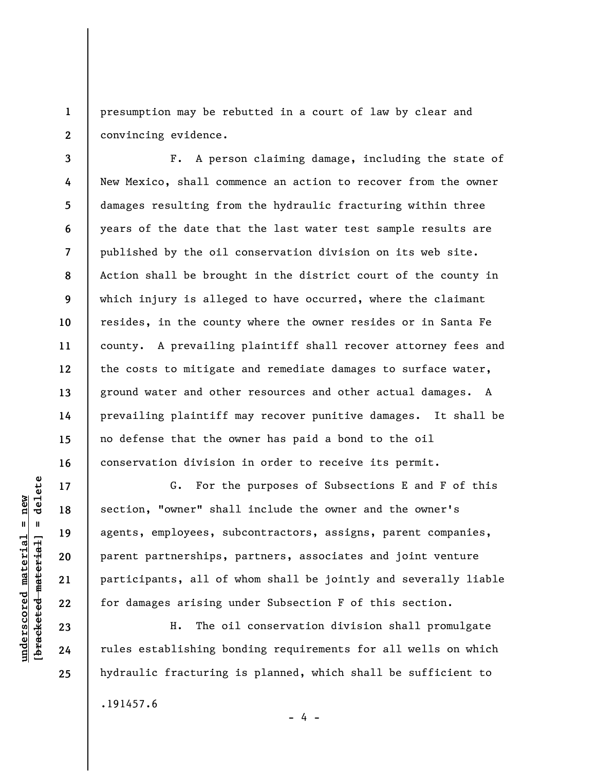**1 2**  presumption may be rebutted in a court of law by clear and convincing evidence.

**3 4 5 6 7 8 9 10 11 12 13 14 15 16**  F. A person claiming damage, including the state of New Mexico, shall commence an action to recover from the owner damages resulting from the hydraulic fracturing within three years of the date that the last water test sample results are published by the oil conservation division on its web site. Action shall be brought in the district court of the county in which injury is alleged to have occurred, where the claimant resides, in the county where the owner resides or in Santa Fe county. A prevailing plaintiff shall recover attorney fees and the costs to mitigate and remediate damages to surface water, ground water and other resources and other actual damages. A prevailing plaintiff may recover punitive damages. It shall be no defense that the owner has paid a bond to the oil conservation division in order to receive its permit.

G. For the purposes of Subsections E and F of this section, "owner" shall include the owner and the owner's agents, employees, subcontractors, assigns, parent companies, parent partnerships, partners, associates and joint venture participants, all of whom shall be jointly and severally liable for damages arising under Subsection F of this section.

H. The oil conservation division shall promulgate rules establishing bonding requirements for all wells on which hydraulic fracturing is planned, which shall be sufficient to

- 4 -

.191457.6

delete **[bracketed material] = delete**  $underscored material = new$ **underscored material = new**  $\mathbf{I}$ bracketed material

**17** 

**18** 

**19** 

**20** 

**21** 

**22** 

**23** 

**24** 

**25**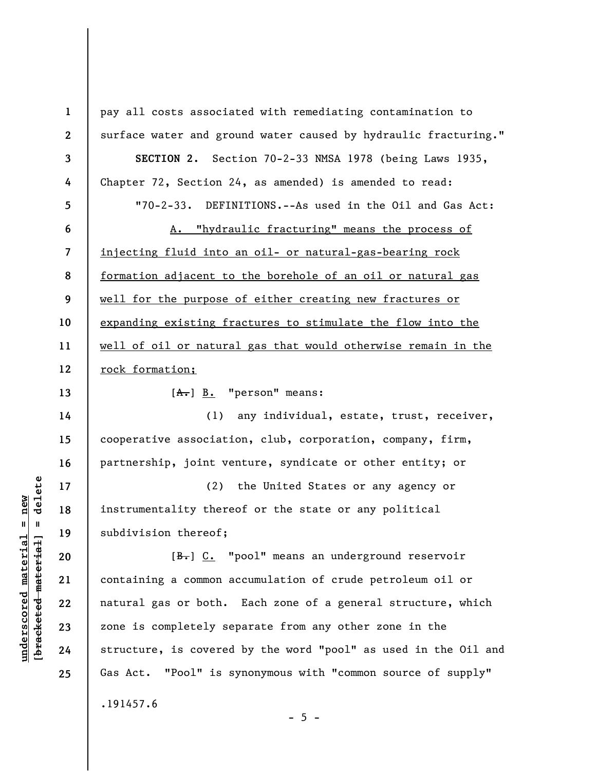**1 2 3 4 5 6 7 8 9 10 11 12 13 14 15 16 17 18 19 20 21 22 23 24 25**  pay all costs associated with remediating contamination to surface water and ground water caused by hydraulic fracturing." **SECTION 2.** Section 70-2-33 NMSA 1978 (being Laws 1935, Chapter 72, Section 24, as amended) is amended to read: "70-2-33. DEFINITIONS.--As used in the Oil and Gas Act: A. "hydraulic fracturing" means the process of injecting fluid into an oil- or natural-gas-bearing rock formation adjacent to the borehole of an oil or natural gas well for the purpose of either creating new fractures or expanding existing fractures to stimulate the flow into the well of oil or natural gas that would otherwise remain in the rock formation;  $[A, B, "person" means:$ (1) any individual, estate, trust, receiver, cooperative association, club, corporation, company, firm, partnership, joint venture, syndicate or other entity; or (2) the United States or any agency or instrumentality thereof or the state or any political subdivision thereof; [B.] C. "pool" means an underground reservoir containing a common accumulation of crude petroleum oil or natural gas or both. Each zone of a general structure, which zone is completely separate from any other zone in the structure, is covered by the word "pool" as used in the Oil and Gas Act. "Pool" is synonymous with "common source of supply" .191457.6

 $- 5 -$ 

 $\frac{1}{2}$  of  $\frac{1}{2}$  and  $\frac{1}{2}$  and  $\frac{1}{2}$  and  $\frac{1}{2}$  and  $\frac{1}{2}$  and  $\frac{1}{2}$  and  $\frac{1}{2}$  and  $\frac{1}{2}$  and  $\frac{1}{2}$  and  $\frac{1}{2}$  and  $\frac{1}{2}$  and  $\frac{1}{2}$  and  $\frac{1}{2}$  and  $\frac{1}{2}$  and  $\frac{1}{2}$  an **[bracketed material] = delete**  $underscored material = new$ **underscored material = new**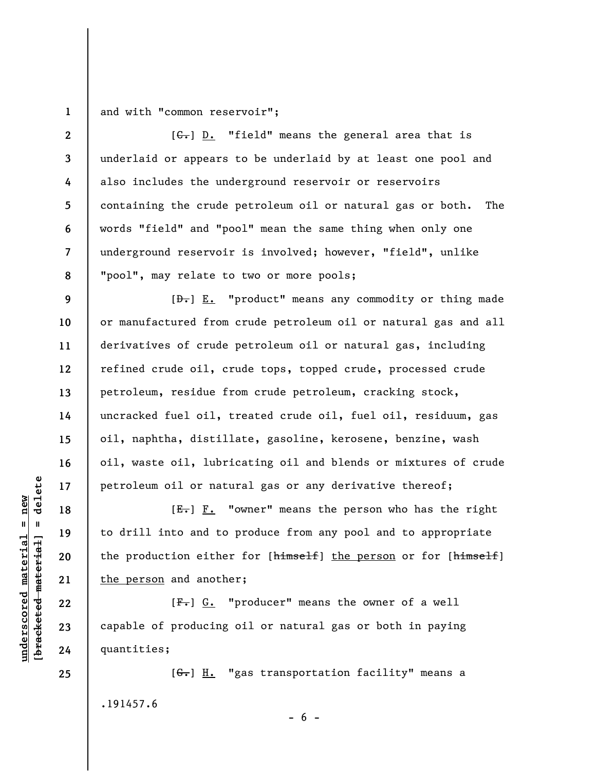**1**  and with "common reservoir";

**2 3 4 5 6 7 8**   $[G<sub>1</sub>]$  D. "field" means the general area that is underlaid or appears to be underlaid by at least one pool and also includes the underground reservoir or reservoirs containing the crude petroleum oil or natural gas or both. The words "field" and "pool" mean the same thing when only one underground reservoir is involved; however, "field", unlike "pool", may relate to two or more pools;

 $[\frac{D-1}{2}]$   $\underline{E.}$  "product" means any commodity or thing made or manufactured from crude petroleum oil or natural gas and all derivatives of crude petroleum oil or natural gas, including refined crude oil, crude tops, topped crude, processed crude petroleum, residue from crude petroleum, cracking stock, uncracked fuel oil, treated crude oil, fuel oil, residuum, gas oil, naphtha, distillate, gasoline, kerosene, benzine, wash oil, waste oil, lubricating oil and blends or mixtures of crude petroleum oil or natural gas or any derivative thereof;

 $[E-]$   $F.$  "owner" means the person who has the right to drill into and to produce from any pool and to appropriate the production either for [himself] the person or for [himself] the person and another;

 $[F-]$   $G.$  "producer" means the owner of a well capable of producing oil or natural gas or both in paying quantities;

[G.] H. "gas transportation facility" means a .191457.6

 $- 6 -$ 

 $\frac{1}{2}$  of  $\frac{1}{2}$  and  $\frac{1}{2}$  and  $\frac{1}{2}$  and  $\frac{1}{2}$  and  $\frac{1}{2}$  and  $\frac{1}{2}$  and  $\frac{1}{2}$  and  $\frac{1}{2}$  and  $\frac{1}{2}$  and  $\frac{1}{2}$  and  $\frac{1}{2}$  and  $\frac{1}{2}$  and  $\frac{1}{2}$  and  $\frac{1}{2}$  and  $\frac{1}{2}$  an **[bracketed material] = delete**  $anderscored material = new$ **underscored material = new**

**9** 

**10** 

**11** 

**12** 

**13** 

**14** 

**15** 

**16** 

**17** 

**18** 

**19** 

**20** 

**21** 

**22** 

**23** 

**24** 

**25**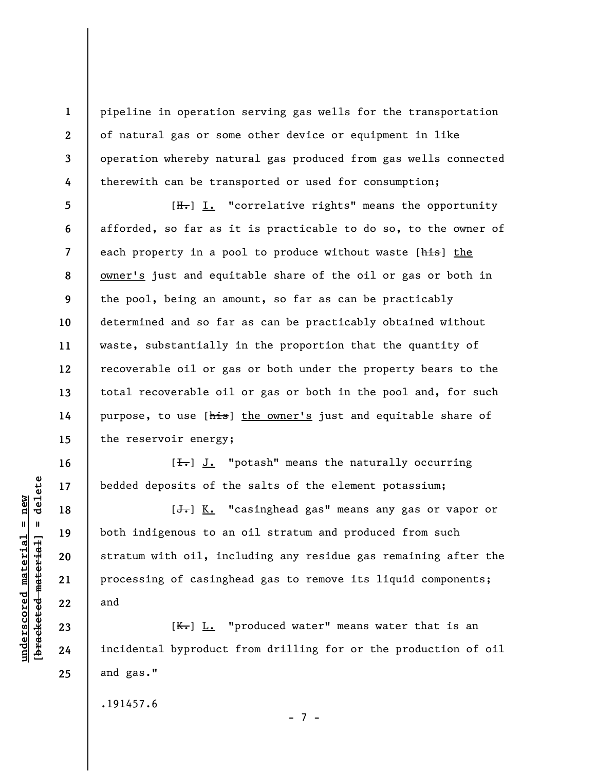pipeline in operation serving gas wells for the transportation of natural gas or some other device or equipment in like operation whereby natural gas produced from gas wells connected therewith can be transported or used for consumption;

**7 8 9 12**   $[H<sub>1</sub>]$  I. "correlative rights" means the opportunity afforded, so far as it is practicable to do so, to the owner of each property in a pool to produce without waste [his] the owner's just and equitable share of the oil or gas or both in the pool, being an amount, so far as can be practicably determined and so far as can be practicably obtained without waste, substantially in the proportion that the quantity of recoverable oil or gas or both under the property bears to the total recoverable oil or gas or both in the pool and, for such purpose, to use [his] the owner's just and equitable share of the reservoir energy;

 $[\frac{1}{\sqrt{1}}]$  J. "potash" means the naturally occurring bedded deposits of the salts of the element potassium;

 $[\frac{1}{\sqrt{1}}]$  K. "casinghead gas" means any gas or vapor or both indigenous to an oil stratum and produced from such stratum with oil, including any residue gas remaining after the processing of casinghead gas to remove its liquid components; and

 $[K-]$   $L.$  "produced water" means water that is an incidental byproduct from drilling for or the production of oil and gas."

.191457.6

- 7 -

 $\frac{1}{2}$  intereted material = delete **[bracketed material] = delete**  $underscored material = new$ **underscored material = new**

**1** 

**2** 

**3** 

**4** 

**5** 

**6** 

**10** 

**11** 

**13** 

**14** 

**15** 

**16** 

**17** 

**18** 

**19** 

**20** 

**21** 

**22** 

**23** 

**24** 

**25**